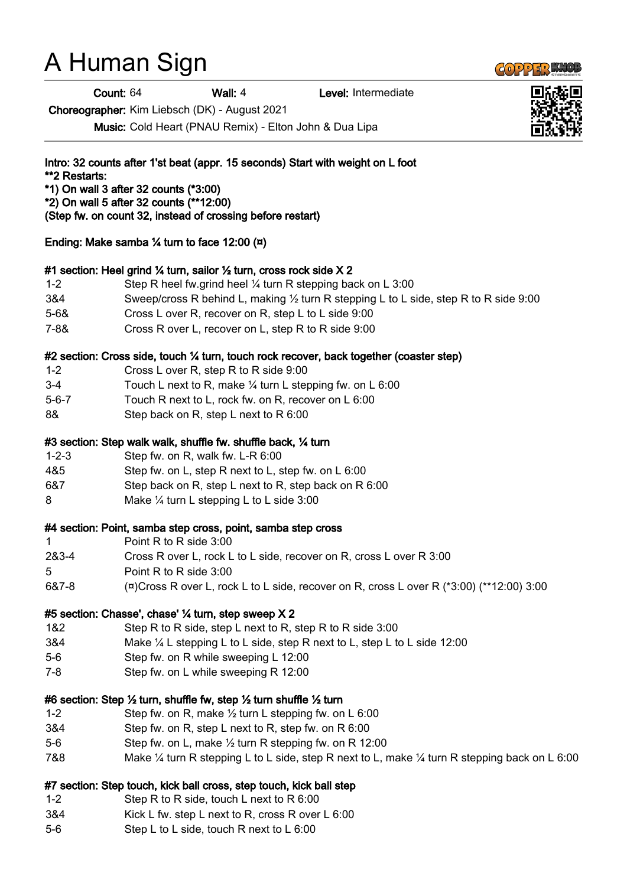# A Human Sign

Count: 64 Wall: 4 Level: Intermediate

Choreographer: Kim Liebsch (DK) - August 2021

Music: Cold Heart (PNAU Remix) - Elton John & Dua Lipa

Intro: 32 counts after 1'st beat (appr. 15 seconds) Start with weight on L foot \*\*2 Restarts: \*1) On wall 3 after 32 counts (\*3:00)

- \*2) On wall 5 after 32 counts (\*\*12:00)
- (Step fw. on count 32, instead of crossing before restart)

Ending: Make samba  $\frac{1}{4}$  turn to face 12:00 ( $\alpha$ )

#### #1 section: Heel grind ¼ turn, sailor ½ turn, cross rock side X 2

- 1-2 Step R heel fw.grind heel ¼ turn R stepping back on L 3:00
- 3&4 Sweep/cross R behind L, making ½ turn R stepping L to L side, step R to R side 9:00
- 5-6& Cross L over R, recover on R, step L to L side 9:00
- 7-8& Cross R over L, recover on L, step R to R side 9:00

## #2 section: Cross side, touch 1/4 turn, touch rock recover, back together (coaster step)

- 1-2 Cross L over R, step R to R side 9:00
- 3-4 Touch L next to R, make ¼ turn L stepping fw. on L 6:00
- 5-6-7 Touch R next to L, rock fw. on R, recover on L 6:00
- 8& Step back on R, step L next to R 6:00

### #3 section: Step walk walk, shuffle fw. shuffle back, ¼ turn

- 1-2-3 Step fw. on R, walk fw. L-R 6:00
- 4&5 Step fw. on L, step R next to L, step fw. on L 6:00
- 6&7 Step back on R, step L next to R, step back on R 6:00
- 8 Make ¼ turn L stepping L to L side 3:00

#### #4 section: Point, samba step cross, point, samba step cross

- 1 Point R to R side 3:00
- 2&3-4 Cross R over L, rock L to L side, recover on R, cross L over R 3:00
- 5 Point R to R side 3:00
- 6&7-8 (¤)Cross R over L, rock L to L side, recover on R, cross L over R (\*3:00) (\*\*12:00) 3:00

#### #5 section: Chasse', chase' ¼ turn, step sweep X 2

- 1&2 Step R to R side, step L next to R, step R to R side 3:00
- 3&4 Make ¼ L stepping L to L side, step R next to L, step L to L side 12:00
- 5-6 Step fw. on R while sweeping L 12:00
- 7-8 Step fw. on L while sweeping R 12:00

#### #6 section: Step ½ turn, shuffle fw, step ½ turn shuffle ½ turn

- 1-2 Step fw. on R, make ½ turn L stepping fw. on L 6:00
- 3&4 Step fw. on R, step L next to R, step fw. on R 6:00
- 5-6 Step fw. on L, make ½ turn R stepping fw. on R 12:00
- 7&8 Make ¼ turn R stepping L to L side, step R next to L, make ¼ turn R stepping back on L 6:00

#### #7 section: Step touch, kick ball cross, step touch, kick ball step

- 1-2 Step R to R side, touch L next to R 6:00
- 3&4 Kick L fw. step L next to R, cross R over L 6:00
- 5-6 Step L to L side, touch R next to L 6:00